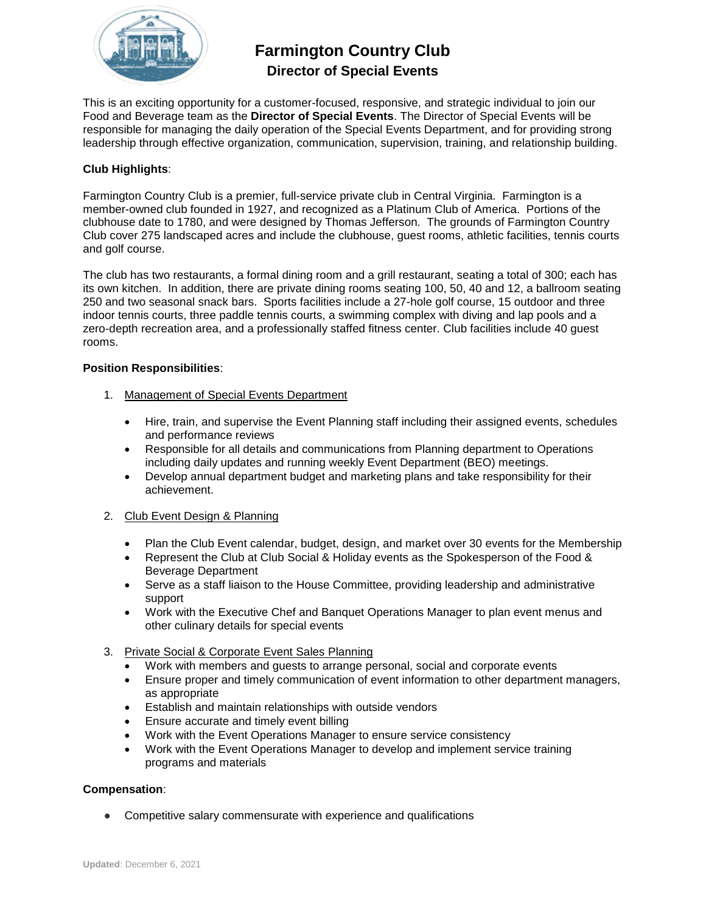

# **Farmington Country Club Director of Special Events**

This is an exciting opportunity for a customer-focused, responsive, and strategic individual to join our Food and Beverage team as the **Director of Special Events**. The Director of Special Events will be responsible for managing the daily operation of the Special Events Department, and for providing strong leadership through effective organization, communication, supervision, training, and relationship building.

## **Club Highlights**:

Farmington Country Club is a premier, full-service private club in Central Virginia. Farmington is a member-owned club founded in 1927, and recognized as a Platinum Club of America. Portions of the clubhouse date to 1780, and were designed by Thomas Jefferson. The grounds of Farmington Country Club cover 275 landscaped acres and include the clubhouse, guest rooms, athletic facilities, tennis courts and golf course.

The club has two restaurants, a formal dining room and a grill restaurant, seating a total of 300; each has its own kitchen. In addition, there are private dining rooms seating 100, 50, 40 and 12, a ballroom seating 250 and two seasonal snack bars. Sports facilities include a 27-hole golf course, 15 outdoor and three indoor tennis courts, three paddle tennis courts, a swimming complex with diving and lap pools and a zero-depth recreation area, and a professionally staffed fitness center. Club facilities include 40 guest rooms.

#### **Position Responsibilities**:

- 1. Management of Special Events Department
	- Hire, train, and supervise the Event Planning staff including their assigned events, schedules and performance reviews
	- Responsible for all details and communications from Planning department to Operations including daily updates and running weekly Event Department (BEO) meetings.
	- Develop annual department budget and marketing plans and take responsibility for their achievement.

## 2. Club Event Design & Planning

- Plan the Club Event calendar, budget, design, and market over 30 events for the Membership
- Represent the Club at Club Social & Holiday events as the Spokesperson of the Food & Beverage Department
- Serve as a staff liaison to the House Committee, providing leadership and administrative support
- Work with the Executive Chef and Banquet Operations Manager to plan event menus and other culinary details for special events
- 3. Private Social & Corporate Event Sales Planning
	- Work with members and guests to arrange personal, social and corporate events
	- Ensure proper and timely communication of event information to other department managers, as appropriate
	- Establish and maintain relationships with outside vendors
	- **Ensure accurate and timely event billing**
	- Work with the Event Operations Manager to ensure service consistency
	- Work with the Event Operations Manager to develop and implement service training programs and materials

#### **Compensation**:

• Competitive salary commensurate with experience and qualifications